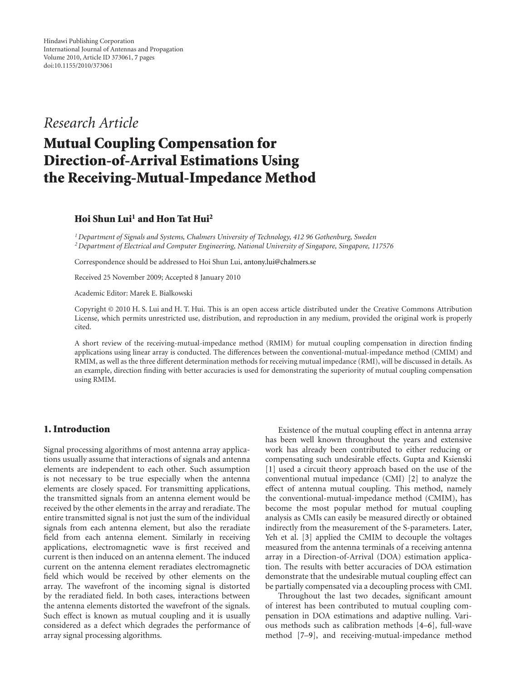# *Research Article*

# **Mutual Coupling Compensation for Direction-of-Arrival Estimations Using the Receiving-Mutual-Impedance Method**

# **Hoi Shun Lui1 and Hon Tat Hui2**

*1Department of Signals and Systems, Chalmers University of Technology, 412 96 Gothenburg, Sweden 2Department of Electrical and Computer Engineering, National University of Singapore, Singapore, 117576*

Correspondence should be addressed to Hoi Shun Lui, antony.lui@chalmers.se

Received 25 November 2009; Accepted 8 January 2010

Academic Editor: Marek E. Bialkowski

Copyright © 2010 H. S. Lui and H. T. Hui. This is an open access article distributed under the Creative Commons Attribution License, which permits unrestricted use, distribution, and reproduction in any medium, provided the original work is properly cited.

A short review of the receiving-mutual-impedance method (RMIM) for mutual coupling compensation in direction finding applications using linear array is conducted. The differences between the conventional-mutual-impedance method (CMIM) and RMIM, as well as the three different determination methods for receiving mutual impedance (RMI), will be discussed in details. As an example, direction finding with better accuracies is used for demonstrating the superiority of mutual coupling compensation using RMIM.

### **1. Introduction**

Signal processing algorithms of most antenna array applications usually assume that interactions of signals and antenna elements are independent to each other. Such assumption is not necessary to be true especially when the antenna elements are closely spaced. For transmitting applications, the transmitted signals from an antenna element would be received by the other elements in the array and reradiate. The entire transmitted signal is not just the sum of the individual signals from each antenna element, but also the reradiate field from each antenna element. Similarly in receiving applications, electromagnetic wave is first received and current is then induced on an antenna element. The induced current on the antenna element reradiates electromagnetic field which would be received by other elements on the array. The wavefront of the incoming signal is distorted by the reradiated field. In both cases, interactions between the antenna elements distorted the wavefront of the signals. Such effect is known as mutual coupling and it is usually considered as a defect which degrades the performance of array signal processing algorithms.

Existence of the mutual coupling effect in antenna array has been well known throughout the years and extensive work has already been contributed to either reducing or compensating such undesirable effects. Gupta and Ksienski [1] used a circuit theory approach based on the use of the conventional mutual impedance (CMI) [2] to analyze the effect of antenna mutual coupling. This method, namely the conventional-mutual-impedance method (CMIM), has become the most popular method for mutual coupling analysis as CMIs can easily be measured directly or obtained indirectly from the measurement of the S-parameters. Later, Yeh et al. [3] applied the CMIM to decouple the voltages measured from the antenna terminals of a receiving antenna array in a Direction-of-Arrival (DOA) estimation application. The results with better accuracies of DOA estimation demonstrate that the undesirable mutual coupling effect can be partially compensated via a decoupling process with CMI.

Throughout the last two decades, significant amount of interest has been contributed to mutual coupling compensation in DOA estimations and adaptive nulling. Various methods such as calibration methods [4–6], full-wave method [7–9], and receiving-mutual-impedance method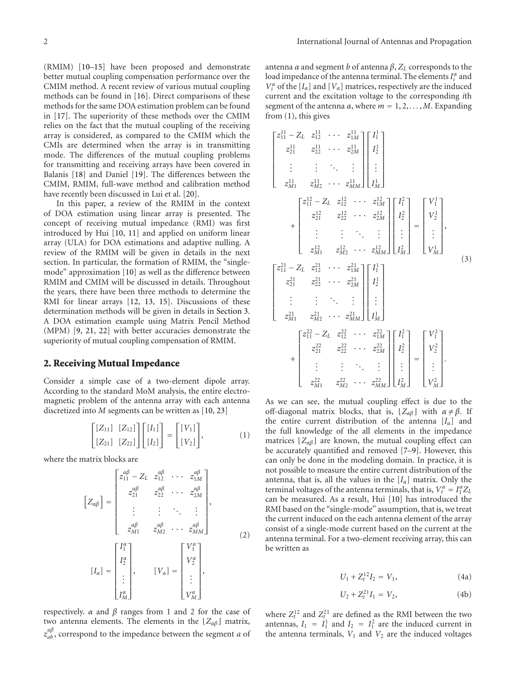(RMIM) [10–15] have been proposed and demonstrate better mutual coupling compensation performance over the CMIM method. A recent review of various mutual coupling methods can be found in [16]. Direct comparisons of these methods for the same DOA estimation problem can be found in [17]. The superiority of these methods over the CMIM relies on the fact that the mutual coupling of the receiving array is considered, as compared to the CMIM which the CMIs are determined when the array is in transmitting mode. The differences of the mutual coupling problems for transmitting and receiving arrays have been covered in Balanis [18] and Daniel [19]. The differences between the CMIM, RMIM, full-wave method and calibration method have recently been discussed in Lui et al. [20].

In this paper, a review of the RMIM in the context of DOA estimation using linear array is presented. The concept of receiving mutual impedance (RMI) was first introduced by Hui [10, 11] and applied on uniform linear array (ULA) for DOA estimations and adaptive nulling. A review of the RMIM will be given in details in the next section. In particular, the formation of RMIM, the "singlemode" approximation [10] as well as the difference between RMIM and CMIM will be discussed in details. Throughout the years, there have been three methods to determine the RMI for linear arrays [12, 13, 15]. Discussions of these determination methods will be given in details in Section 3. A DOA estimation example using Matrix Pencil Method (MPM) [9, 21, 22] with better accuracies demonstrate the superiority of mutual coupling compensation of RMIM.

#### **2. Receiving Mutual Impedance**

Consider a simple case of a two-element dipole array. According to the standard MoM analysis, the entire electromagnetic problem of the antenna array with each antenna discretized into *M* segments can be written as [10, 23]

$$
\begin{bmatrix}\n[Z_{11}] & [Z_{12}]\n \\ [Z_{21}] & [Z_{22}]\n\end{bmatrix}\n\begin{bmatrix}\n[I_1]\n \\ [I_2]\n\end{bmatrix}\n=\n\begin{bmatrix}\n[V_1]\n \\ [V_2]\n\end{bmatrix},
$$
\n(1)

where the matrix blocks are

$$
\begin{bmatrix} Z_{\alpha\beta} \end{bmatrix} = \begin{bmatrix} z_{11}^{\alpha\beta} - Z_L & z_{12}^{\alpha\beta} & \cdots & z_{1M}^{\alpha\beta} \\ z_{21}^{\alpha\beta} & z_{22}^{\alpha\beta} & \cdots & z_{2M}^{\alpha\beta} \\ \vdots & \vdots & \ddots & \vdots \\ z_{M1}^{\alpha\beta} & z_{M2}^{\alpha\beta} & \cdots & z_{MM}^{\alpha\beta} \end{bmatrix},
$$

$$
\begin{bmatrix} I_{\alpha} \end{bmatrix} = \begin{bmatrix} I_1^{\alpha} \\ I_2^{\alpha} \\ \vdots \\ I_M^{\alpha} \end{bmatrix}, \qquad \begin{bmatrix} V_{\alpha} \end{bmatrix} = \begin{bmatrix} V_1^{\alpha} \\ V_2^{\alpha} \\ \vdots \\ V_M^{\alpha} \end{bmatrix},
$$

$$
\begin{bmatrix} I_{\alpha} \end{bmatrix} = \begin{bmatrix} I_1^{\alpha} \\ I_2^{\alpha} \\ \vdots \\ I_M^{\alpha} \end{bmatrix},
$$

$$
\begin{bmatrix} V_{\alpha} \end{bmatrix} = \begin{bmatrix} V_1^{\alpha} \\ V_2^{\alpha} \\ \vdots \\ V_M^{\alpha} \end{bmatrix},
$$

$$
(2)
$$

respectively. *α* and *β* ranges from 1 and 2 for the case of two antenna elements. The elements in the  $[Z_{\alpha\beta}]$  matrix, *z*<sub>α</sub> $^{\alpha\beta}_{ab}$ , correspond to the impedance between the segment *a* of

antenna *α* and segment *b* of antenna  $β$ ,  $Z<sub>L</sub>$  corresponds to the load impedance of the antenna terminal. The elements  $I_i^{\alpha}$  and  $V_i^{\alpha}$  of the [ $I_{\alpha}$ ] and [ $V_{\alpha}$ ] matrices, respectively are the induced current and the excitation voltage to the corresponding *i*th segment of the antenna  $\alpha$ , where  $m = 1, 2, \ldots, M$ . Expanding from (1), this gives

$$
\begin{bmatrix}\nz_{11}^{11} - Z_L & z_{12}^{11} & \cdots & z_{1M}^{11} \\
z_{21}^{11} & z_{22}^{11} & \cdots & z_{2M}^{11} \\
\vdots & \vdots & \ddots & \vdots \\
z_{M1}^{11} & z_{M2}^{11} & \cdots & z_{MM}^{11}\n\end{bmatrix}\n\begin{bmatrix}\nI_1^1 \\
I_2^1 \\
\vdots \\
I_M^1\n\end{bmatrix}
$$
\n
$$
+\n\begin{bmatrix}\nz_{11}^{12} - Z_L & z_{12}^{12} & \cdots & z_{1M}^{12} \\
z_{21}^{12} & z_{22}^{12} & \cdots & z_{2M}^{12} \\
\vdots & \vdots & \ddots & \vdots \\
z_{M1}^{12} & z_{M2}^{12} & \cdots & z_{MM}^{12}\n\end{bmatrix}\n\begin{bmatrix}\nI_1^2 \\
I_2^2 \\
\vdots \\
I_M^2\n\end{bmatrix} =\n\begin{bmatrix}\nV_1^1 \\
V_2^1 \\
\vdots \\
V_M^1\n\end{bmatrix},
$$
\n(3)\n
$$
\begin{bmatrix}\nz_{11}^{21} - Z_L & z_{12}^{21} & \cdots & z_{1M}^{21} \\
\vdots & \vdots & \ddots & \vdots \\
z_{M1}^{21} & z_{M2}^{21} & \cdots & z_{MM}^{21}\n\end{bmatrix}\n\begin{bmatrix}\nI_1^1 \\
I_2^1 \\
I_2^1 \\
I_3^1\n\end{bmatrix}
$$
\n
$$
+\n\begin{bmatrix}\nz_{11}^{22} - Z_L & z_{12}^{22} & \cdots & z_{1M}^{22} \\
\vdots & \vdots & \ddots & \vdots \\
z_{M1}^{22} & z_{22}^{22} & \cdots & z_{2M}^{22} \\
\vdots & \vdots & \ddots & \vdots \\
z_{M1}^{22} & z_{M2}^{22} & \cdots & z_{MM}^{22}\n\end{bmatrix}\n\begin{bmatrix}\nI_1^2 \\
I_2^2 \\
I_2^2 \\
\vdots \\
I_M^2\n\end{bmatrix} =\n\begin{bmatrix}\nV_1^2 \\
V_2^2 \\
\vdots
$$

As we can see, the mutual coupling effect is due to the off-diagonal matrix blocks, that is,  $[Z_{\alpha\beta}]$  with  $\alpha \neq \beta$ . If the entire current distribution of the antenna [*Iα*] and the full knowledge of the all elements in the impedance matrices  $[Z_{\alpha\beta}]$  are known, the mutual coupling effect can be accurately quantified and removed [7–9]. However, this can only be done in the modeling domain. In practice, it is not possible to measure the entire current distribution of the antenna, that is, all the values in the  $[I_\alpha]$  matrix. Only the terminal voltages of the antenna terminals, that is,  $V_t^{\alpha} = I_1^{\alpha} Z_t$ can be measured. As a result, Hui [10] has introduced the RMI based on the "single-mode" assumption, that is, we treat the current induced on the each antenna element of the array consist of a single-mode current based on the current at the antenna terminal. For a two-element receiving array, this can be written as

$$
U_1 + Z_t^{12} I_2 = V_1, \t\t(4a)
$$

$$
U_2 + Z_t^{21} I_1 = V_2, \t\t(4b)
$$

where  $Z_t^{12}$  and  $Z_t^{21}$  are defined as the RMI between the two antennas,  $I_1 = I_1^1$  and  $I_2 = I_1^2$  are the induced current in the antenna terminals,  $V_1$  and  $V_2$  are the induced voltages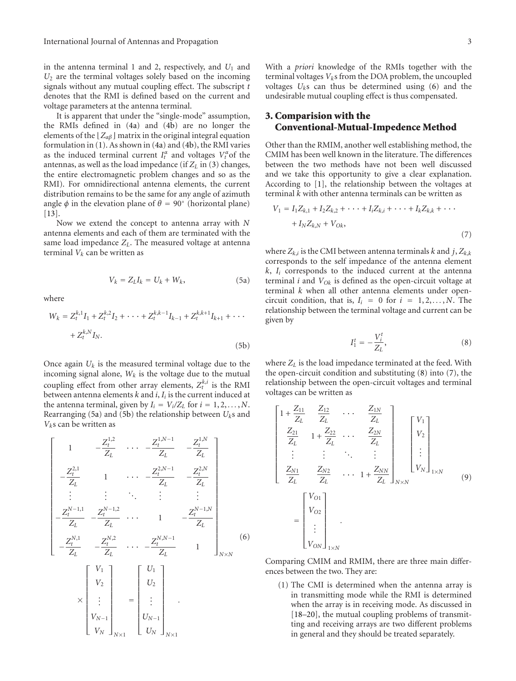in the antenna terminal 1 and 2, respectively, and  $U_1$  and *U*<sup>2</sup> are the terminal voltages solely based on the incoming signals without any mutual coupling effect. The subscript *t* denotes that the RMI is defined based on the current and voltage parameters at the antenna terminal.

It is apparent that under the "single-mode" assumption, the RMIs defined in (4a) and (4b) are no longer the elements of the  $\lfloor Z_{\alpha\beta}\rfloor$  matrix in the original integral equation formulation in (1). As shown in (4a) and (4b), the RMI varies as the induced terminal current  $I_t^{\alpha}$  and voltages  $V_t^{\alpha}$  of the antennas, as well as the load impedance (if  $Z_L$  in (3) changes, the entire electromagnetic problem changes and so as the RMI). For omnidirectional antenna elements, the current distribution remains to be the same for any angle of azimuth angle  $\phi$  in the elevation plane of  $\theta = 90^\circ$  (horizontal plane) [13].

Now we extend the concept to antenna array with *N* antenna elements and each of them are terminated with the same load impedance *ZL*. The measured voltage at antenna terminal  $V_k$  can be written as

$$
V_k = Z_L I_k = U_k + W_k, \tag{5a}
$$

where

$$
W_k = Z_t^{k,1} I_1 + Z_t^{k,2} I_2 + \dots + Z_t^{k,k-1} I_{k-1} + Z_t^{k,k+1} I_{k+1} + \dots
$$
  
+  $Z_t^{k,N} I_N$ . (5b)

Once again  $U_k$  is the measured terminal voltage due to the incoming signal alone,  $W_k$  is the voltage due to the mutual coupling effect from other array elements,  $Z_t^{k,i}$  is the RMI between antenna elements *k* and *i*, *Ii* is the current induced at the antenna terminal, given by  $I_i = V_i/Z_L$  for  $i = 1, 2, ..., N$ . Rearranging (5a) and (5b) the relationship between *Uk*s and *Vk*s can be written as

$$
\begin{bmatrix}\n1 & -\frac{Z_t^{1,2}}{Z_L} & \cdots & -\frac{Z_t^{1,N-1}}{Z_L} & -\frac{Z_t^{1,N}}{Z_L} \\
-\frac{Z_t^{2,1}}{Z_L} & 1 & \cdots & -\frac{Z_t^{2,N-1}}{Z_L} & -\frac{Z_t^{2,N}}{Z_L} \\
\vdots & \vdots & \ddots & \vdots & \vdots \\
-\frac{Z_t^{N-1,1}}{Z_L} & -\frac{Z_t^{N-1,2}}{Z_L} & \cdots & 1 & -\frac{Z_t^{N-1,N}}{Z_L} \\
-\frac{Z_t^{N,1}}{Z_L} & -\frac{Z_t^{N,2}}{Z_L} & \cdots & -\frac{Z_t^{N,N-1}}{Z_L} & 1\n\end{bmatrix}_{N \times N}
$$
\n(6)

$$
\times \begin{bmatrix} v_2 \\ \vdots \\ v_{N-1} \\ v_N \end{bmatrix}_{N \times 1} = \begin{bmatrix} v_2 \\ \vdots \\ v_{N-1} \\ v_N \end{bmatrix}_{N \times 1}.
$$

With a *priori* knowledge of the RMIs together with the terminal voltages  $V_k$ s from the DOA problem, the uncoupled voltages *Uk*s can thus be determined using (6) and the undesirable mutual coupling effect is thus compensated.

### **3. Comparision with the Conventional-Mutual-Impedence Method**

Other than the RMIM, another well establishing method, the CMIM has been well known in the literature. The differences between the two methods have not been well discussed and we take this opportunity to give a clear explanation. According to [1], the relationship between the voltages at terminal *k* with other antenna terminals can be written as

$$
V_1 = I_1 Z_{k,1} + I_2 Z_{k,2} + \dots + I_i Z_{k,i} + \dots + I_k Z_{k,k} + \dots
$$

$$
+ I_N Z_{k,N} + V_{Ok},
$$

$$
(7)
$$

where  $Z_{k,i}$  is the CMI between antenna terminals *k* and *j*,  $Z_{k,k}$ corresponds to the self impedance of the antenna element  $k$ ,  $I_i$  corresponds to the induced current at the antenna terminal *i* and  $V_{Ok}$  is defined as the open-circuit voltage at terminal *k* when all other antenna elements under opencircuit condition, that is,  $I_i = 0$  for  $i = 1, 2, ..., N$ . The relationship between the terminal voltage and current can be given by

$$
I_1^t = -\frac{V_i^t}{Z_L},\tag{8}
$$

where *ZL* is the load impedance terminated at the feed. With the open-circuit condition and substituting (8) into (7), the relationship between the open-circuit voltages and terminal voltages can be written as

$$
\begin{bmatrix}\n1 + \frac{Z_{11}}{Z_L} & \frac{Z_{12}}{Z_L} & \cdots & \frac{Z_{1N}}{Z_L} \\
\frac{Z_{21}}{Z_L} & 1 + \frac{Z_{22}}{Z_L} & \cdots & \frac{Z_{2N}}{Z_L} \\
\vdots & \vdots & \ddots & \vdots \\
\frac{Z_{N1}}{Z_L} & \frac{Z_{N2}}{Z_L} & \cdots & 1 + \frac{Z_{NN}}{Z_L}\n\end{bmatrix}_{N \times N} \begin{bmatrix}\nV_1 \\
V_2 \\
\vdots \\
V_N\n\end{bmatrix}_{1 \times N}
$$
\n
$$
= \begin{bmatrix}\nV_{01} \\
V_{02} \\
\vdots \\
V_{0N}\n\end{bmatrix}_{1 \times N}
$$
\n(9)

Comparing CMIM and RMIM, there are three main differences between the two. They are:

(1) The CMI is determined when the antenna array is in transmitting mode while the RMI is determined when the array is in receiving mode. As discussed in [18–20], the mutual coupling problems of transmitting and receiving arrays are two different problems in general and they should be treated separately.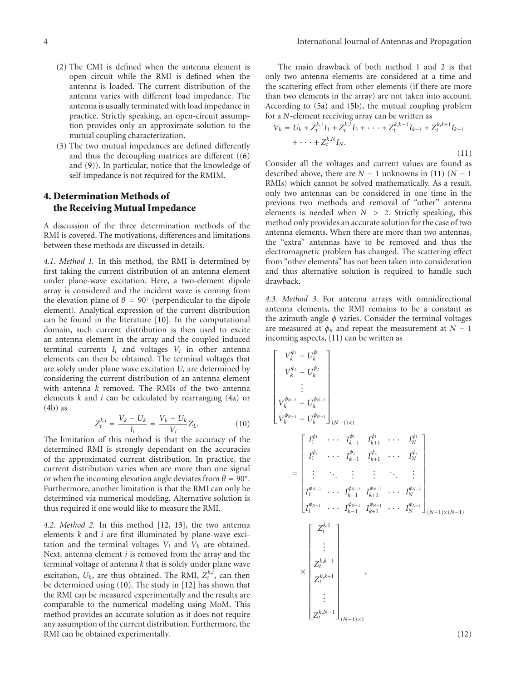- (2) The CMI is defined when the antenna element is open circuit while the RMI is defined when the antenna is loaded. The current distribution of the antenna varies with different load impedance. The antenna is usually terminated with load impedance in practice. Strictly speaking, an open-circuit assumption provides only an approximate solution to the mutual coupling characterization.
- (3) The two mutual impedances are defined differently and thus the decoupling matrices are different ((6) and (9)). In particular, notice that the knowledge of self-impedance is not required for the RMIM.

## **4. Determination Methods of the Receiving Mutual Impedance**

A discussion of the three determination methods of the RMI is covered. The motivations, differences and limitations between these methods are discussed in details.

*4.1. Method 1.* In this method, the RMI is determined by first taking the current distribution of an antenna element under plane-wave excitation. Here, a two-element dipole array is considered and the incident wave is coming from the elevation plane of  $\theta = 90^\circ$  (perpendicular to the dipole element). Analytical expression of the current distribution can be found in the literature [10]. In the computational domain, such current distribution is then used to excite an antenna element in the array and the coupled induced terminal currents *Ii* and voltages *Vi* in other antenna elements can then be obtained. The terminal voltages that are solely under plane wave excitation *Ui* are determined by considering the current distribution of an antenna element with antenna *k* removed. The RMIs of the two antenna elements *k* and *i* can be calculated by rearranging (4a) or  $(4b)$  as

$$
Z_t^{k,i} = \frac{V_k - U_k}{I_i} = \frac{V_k - U_k}{V_i} Z_L.
$$
 (10)

The limitation of this method is that the accuracy of the determined RMI is strongly dependant on the accuracies of the approximated current distribution. In practice, the current distribution varies when are more than one signal or when the incoming elevation angle deviates from  $\theta = 90^\circ$ . Furthermore, another limitation is that the RMI can only be determined via numerical modeling. Alternative solution is thus required if one would like to measure the RMI.

*4.2. Method 2.* In this method [12, 13], the two antenna elements *k* and *i* are first illuminated by plane-wave excitation and the terminal voltages  $V_i$  and  $V_k$  are obtained. Next, antenna element *i* is removed from the array and the terminal voltage of antenna *k* that is solely under plane wave excitation,  $U_k$ , are thus obtained. The RMI,  $Z_t^{k,i}$ , can then be determined using (10). The study in [12] has shown that the RMI can be measured experimentally and the results are comparable to the numerical modeling using MoM. This method provides an accurate solution as it does not require any assumption of the current distribution. Furthermore, the RMI can be obtained experimentally.

The main drawback of both method 1 and 2 is that only two antenna elements are considered at a time and the scattering effect from other elements (if there are more than two elements in the array) are not taken into account. According to (5a) and (5b), the mutual coupling problem for a *N*-element receiving array can be written as

$$
V_k = U_k + Z_t^{k,1} I_1 + Z_t^{k,2} I_2 + \dots + Z_t^{k,k-1} I_{k-1} + Z_t^{k,k+1} I_{k+1}
$$
  
+  $\dots + Z_t^{k,N} I_N.$  (11)

Consider all the voltages and current values are found as described above, there are  $N - 1$  unknowns in (11) ( $N - 1$ RMIs) which cannot be solved mathematically. As a result, only two antennas can be considered in one time in the previous two methods and removal of "other" antenna elements is needed when *N >* 2. Strictly speaking, this method only provides an accurate solution for the case of two antenna elements. When there are more than two antennas, the "extra" antennas have to be removed and thus the electromagnetic problem has changed. The scattering effect from "other elements" has not been taken into consideration and thus alternative solution is required to handle such drawback.

*4.3. Method 3.* For antenna arrays with omnidirectional antenna elements, the RMI remains to be a constant as the azimuth angle *φ* varies. Consider the terminal voltages are measured at  $\phi_n$  and repeat the measurement at  $N-1$ incoming aspects, (11) can be written as

$$
\begin{bmatrix}\nV_{k}^{\phi_{1}} - U_{k}^{\phi_{1}} \\
V_{k}^{\phi_{2}} - U_{k}^{\phi_{2}} \\
\vdots \\
V_{k}^{\phi_{N-2}} - U_{k}^{\phi_{N-2}} \\
V_{k}^{\phi_{N-1}} - U_{k}^{\phi_{N-1}}\n\end{bmatrix}_{(N-1)\times 1}
$$
\n
$$
= \begin{bmatrix}\nI_{1}^{\phi_{1}} & \cdots & I_{k-1}^{\phi_{1}} & I_{k+1}^{\phi_{1}} & \cdots & I_{N}^{\phi_{1}} \\
I_{1}^{\phi_{2}} & \cdots & I_{k-1}^{\phi_{2}} & I_{k+1}^{\phi_{2}} & \cdots & I_{N}^{\phi_{2}} \\
\vdots & \ddots & \vdots & \vdots & \ddots & \vdots \\
I_{1}^{\phi_{N-2}} & \cdots & I_{k-1}^{\phi_{N-2}} & I_{k+1}^{\phi_{N-2}} & \cdots & I_{N}^{\phi_{N-2}} \\
I_{1}^{\phi_{N-1}} & \cdots & I_{k-1}^{\phi_{N-1}} & I_{k+1}^{\phi_{N-1}} & \cdots & I_{N}^{\phi_{N-1}} \\
I_{1}^{\phi_{N-1}} & \cdots & I_{N}^{\phi_{N-1}} & I_{N+1}^{\phi_{N-1}} & \cdots & I_{N}^{\phi_{N-1}} \\
\vdots & \vdots & \vdots & \ddots & \vdots \\
Z_{t}^{k,k-1} & \cdots & \cdots & Z_{t}^{k,k-1} \\
Z_{t}^{k,k+1} & \cdots & \cdots & Z_{t}^{k,k-1} \\
Z_{t}^{k,N-1} & \cdots & \cdots & \cdots \\
Z_{t}^{k,N-1} & \cdots & \cdots & \cdots \\
\end{bmatrix}_{(N-1)\times 1}
$$

(12)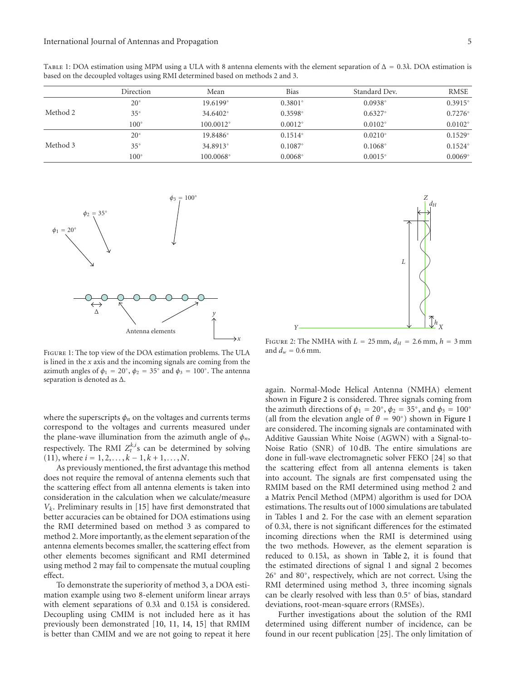| TABLE 1: DOA estimation using MPM using a ULA with 8 antenna elements with the element separation of $\Delta = 0.3\lambda$ . DOA estimation is |  |
|------------------------------------------------------------------------------------------------------------------------------------------------|--|
| based on the decoupled voltages using RMI determined based on methods 2 and 3.                                                                 |  |

|          | Direction     | Mean               | Bias             | Standard Dev.    | <b>RMSE</b>      |
|----------|---------------|--------------------|------------------|------------------|------------------|
| Method 2 | $20^{\circ}$  | $19.6199^{\circ}$  | $0.3801^{\circ}$ | $0.0938^{\circ}$ | $0.3915^{\circ}$ |
|          | $35^{\circ}$  | 34.6402°           | $0.3598^{\circ}$ | $0.6327^{\circ}$ | $0.7276^{\circ}$ |
|          | $100^{\circ}$ | $100.0012^{\circ}$ | $0.0012^{\circ}$ | $0.0102^{\circ}$ | $0.0102^{\circ}$ |
| Method 3 | $20^{\circ}$  | 19.8486°           | $0.1514^{\circ}$ | $0.0210^{\circ}$ | $0.1529^{\circ}$ |
|          | $35^{\circ}$  | 34.8913°           | $0.1087^{\circ}$ | $0.1068^{\circ}$ | $0.1524^{\circ}$ |
|          | $100^{\circ}$ | 100.0068°          | $0.0068^{\circ}$ | $0.0015^{\circ}$ | $0.0069^{\circ}$ |



Figure 1: The top view of the DOA estimation problems. The ULA is lined in the *x* axis and the incoming signals are coming from the azimuth angles of  $\phi_1 = 20^\circ$ ,  $\phi_2 = 35^\circ$  and  $\phi_3 = 100^\circ$ . The antenna separation is denoted as Δ.

where the superscripts  $\phi_n$  on the voltages and currents terms correspond to the voltages and currents measured under the plane-wave illumination from the azimuth angle of  $\phi_n$ , respectively. The RMI  $Z_t^{k,i}$ s can be determined by solving  $(11)$ , where  $i = 1, 2, ..., k - 1, k + 1, ..., N$ .

As previously mentioned, the first advantage this method does not require the removal of antenna elements such that the scattering effect from all antenna elements is taken into consideration in the calculation when we calculate/measure *Vk*. Preliminary results in [15] have first demonstrated that better accuracies can be obtained for DOA estimations using the RMI determined based on method 3 as compared to method 2. More importantly, as the element separation of the antenna elements becomes smaller, the scattering effect from other elements becomes significant and RMI determined using method 2 may fail to compensate the mutual coupling effect.

To demonstrate the superiority of method 3, a DOA estimation example using two 8-element uniform linear arrays with element separations of 0*.*3*λ* and 0*.*15*λ* is considered. Decoupling using CMIM is not included here as it has previously been demonstrated [10, 11, 14, 15] that RMIM is better than CMIM and we are not going to repeat it here



FIGURE 2: The NMHA with  $L = 25$  mm,  $d_H = 2.6$  mm,  $h = 3$  mm and  $d_w = 0.6$  mm.

again. Normal-Mode Helical Antenna (NMHA) element shown in Figure 2 is considered. Three signals coming from the azimuth directions of  $\phi_1 = 20^\circ$ ,  $\phi_2 = 35^\circ$ , and  $\phi_3 = 100^\circ$ (all from the elevation angle of  $\theta = 90°$ ) shown in Figure 1 are considered. The incoming signals are contaminated with Additive Gaussian White Noise (AGWN) with a Signal-to-Noise Ratio (SNR) of 10 dB. The entire simulations are done in full-wave electromagnetic solver FEKO [24] so that the scattering effect from all antenna elements is taken into account. The signals are first compensated using the RMIM based on the RMI determined using method 2 and a Matrix Pencil Method (MPM) algorithm is used for DOA estimations. The results out of 1000 simulations are tabulated in Tables 1 and 2. For the case with an element separation of 0*.*3*λ*, there is not significant differences for the estimated incoming directions when the RMI is determined using the two methods. However, as the element separation is reduced to 0*.*15*λ*, as shown in Table 2, it is found that the estimated directions of signal 1 and signal 2 becomes 26◦ and 80◦, respectively, which are not correct. Using the RMI determined using method 3, three incoming signals can be clearly resolved with less than 0*.*5◦ of bias, standard deviations, root-mean-square errors (RMSEs).

Further investigations about the solution of the RMI determined using different number of incidence, can be found in our recent publication [25]. The only limitation of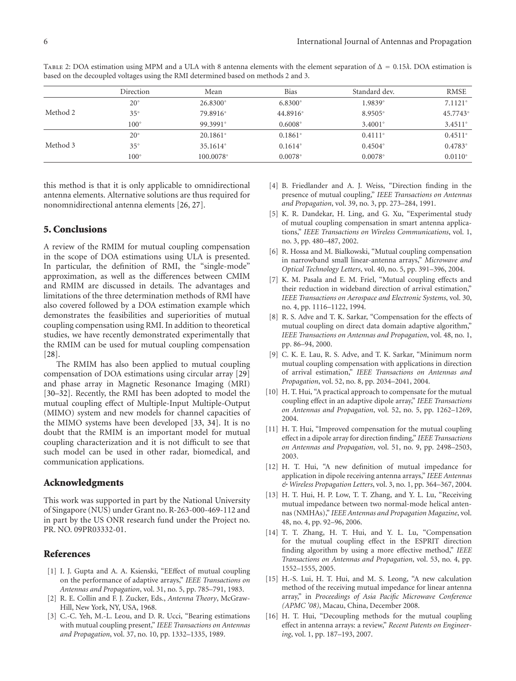|          | Direction     | Mean               | <b>Bias</b>      | Standard dev.    | <b>RMSE</b>      |
|----------|---------------|--------------------|------------------|------------------|------------------|
| Method 2 | $20^{\circ}$  | 26.8300°           | $6.8300^{\circ}$ | 1.9839°          | $7.1121^{\circ}$ |
|          | $35^{\circ}$  | 79.8916°           | 44.8916°         | $8.9505^{\circ}$ | 45.7743°         |
|          | $100^\circ$   | 99.3991°           | $0.6008^{\circ}$ | $3.4001^{\circ}$ | $3.4511^{\circ}$ |
| Method 3 | $20^{\circ}$  | $20.1861^{\circ}$  | $0.1861^{\circ}$ | $0.4111^{\circ}$ | $0.4511^{\circ}$ |
|          | $35^{\circ}$  | 35.1614°           | $0.1614^{\circ}$ | $0.4504^{\circ}$ | $0.4783^{\circ}$ |
|          | $100^{\circ}$ | $100.0078^{\circ}$ | $0.0078^{\circ}$ | $0.0078^{\circ}$ | $0.0110^{\circ}$ |
|          |               |                    |                  |                  |                  |

Table 2: DOA estimation using MPM and a ULA with 8 antenna elements with the element separation of Δ = 0*.*15*λ*. DOA estimation is based on the decoupled voltages using the RMI determined based on methods 2 and 3.

this method is that it is only applicable to omnidirectional antenna elements. Alternative solutions are thus required for nonomnidirectional antenna elements [26, 27].

#### **5. Conclusions**

A review of the RMIM for mutual coupling compensation in the scope of DOA estimations using ULA is presented. In particular, the definition of RMI, the "single-mode" approximation, as well as the differences between CMIM and RMIM are discussed in details. The advantages and limitations of the three determination methods of RMI have also covered followed by a DOA estimation example which demonstrates the feasibilities and superiorities of mutual coupling compensation using RMI. In addition to theoretical studies, we have recently demonstrated experimentally that the RMIM can be used for mutual coupling compensation [28].

The RMIM has also been applied to mutual coupling compensation of DOA estimations using circular array [29] and phase array in Magnetic Resonance Imaging (MRI) [30–32]. Recently, the RMI has been adopted to model the mutual coupling effect of Multiple-Input Multiple-Output (MIMO) system and new models for channel capacities of the MIMO systems have been developed [33, 34]. It is no doubt that the RMIM is an important model for mutual coupling characterization and it is not difficult to see that such model can be used in other radar, biomedical, and communication applications.

#### **Acknowledgments**

This work was supported in part by the National University of Singapore (NUS) under Grant no. R-263-000-469-112 and in part by the US ONR research fund under the Project no. PR. NO. 09PR03332-01.

#### **References**

- [1] I. J. Gupta and A. A. Ksienski, "EEffect of mutual coupling on the performance of adaptive arrays," *IEEE Transactions on Antennas and Propagation*, vol. 31, no. 5, pp. 785–791, 1983.
- [2] R. E. Collin and F. J. Zucker, Eds., *Antenna Theory*, McGraw-Hill, New York, NY, USA, 1968.
- [3] C.-C. Yeh, M.-L. Leou, and D. R. Ucci, "Bearing estimations with mutual coupling present," *IEEE Transactions on Antennas and Propagation*, vol. 37, no. 10, pp. 1332–1335, 1989.
- [4] B. Friedlander and A. J. Weiss, "Direction finding in the presence of mutual coupling," *IEEE Transactions on Antennas and Propagation*, vol. 39, no. 3, pp. 273–284, 1991.
- [5] K. R. Dandekar, H. Ling, and G. Xu, "Experimental study of mutual coupling compensation in smart antenna applications," *IEEE Transactions on Wireless Communications*, vol. 1, no. 3, pp. 480–487, 2002.
- [6] R. Hossa and M. Bialkowski, "Mutual coupling compensation in narrowband small linear-antenna arrays," *Microwave and Optical Technology Letters*, vol. 40, no. 5, pp. 391–396, 2004.
- [7] K. M. Pasala and E. M. Friel, "Mutual coupling effects and their reduction in wideband direction of arrival estimation," *IEEE Transactions on Aerospace and Electronic Systems*, vol. 30, no. 4, pp. 1116–1122, 1994.
- [8] R. S. Adve and T. K. Sarkar, "Compensation for the effects of mutual coupling on direct data domain adaptive algorithm," *IEEE Transactions on Antennas and Propagation*, vol. 48, no. 1, pp. 86–94, 2000.
- [9] C. K. E. Lau, R. S. Adve, and T. K. Sarkar, "Minimum norm mutual coupling compensation with applications in direction of arrival estimation," *IEEE Transactions on Antennas and Propagation*, vol. 52, no. 8, pp. 2034–2041, 2004.
- [10] H. T. Hui, "A practical approach to compensate for the mutual coupling effect in an adaptive dipole array," *IEEE Transactions on Antennas and Propagation*, vol. 52, no. 5, pp. 1262–1269, 2004.
- [11] H. T. Hui, "Improved compensation for the mutual coupling effect in a dipole array for direction finding," *IEEE Transactions on Antennas and Propagation*, vol. 51, no. 9, pp. 2498–2503, 2003.
- [12] H. T. Hui, "A new definition of mutual impedance for application in dipole receiving antenna arrays," *IEEE Antennas & Wireless Propagation Letters*, vol. 3, no. 1, pp. 364–367, 2004.
- [13] H. T. Hui, H. P. Low, T. T. Zhang, and Y. L. Lu, "Receiving mutual impedance between two normal-mode helical antennas (NMHAs)," *IEEE Antennas and Propagation Magazine*, vol. 48, no. 4, pp. 92–96, 2006.
- [14] T. T. Zhang, H. T. Hui, and Y. L. Lu, "Compensation for the mutual coupling effect in the ESPRIT direction finding algorithm by using a more effective method," *IEEE Transactions on Antennas and Propagation*, vol. 53, no. 4, pp. 1552–1555, 2005.
- [15] H.-S. Lui, H. T. Hui, and M. S. Leong, "A new calculation method of the receiving mutual impedance for linear antenna array," in *Proceedings of Asia Pacific Microwave Conference (APMC '08)*, Macau, China, December 2008.
- [16] H. T. Hui, "Decoupling methods for the mutual coupling effect in antenna arrays: a review," *Recent Patents on Engineering*, vol. 1, pp. 187–193, 2007.